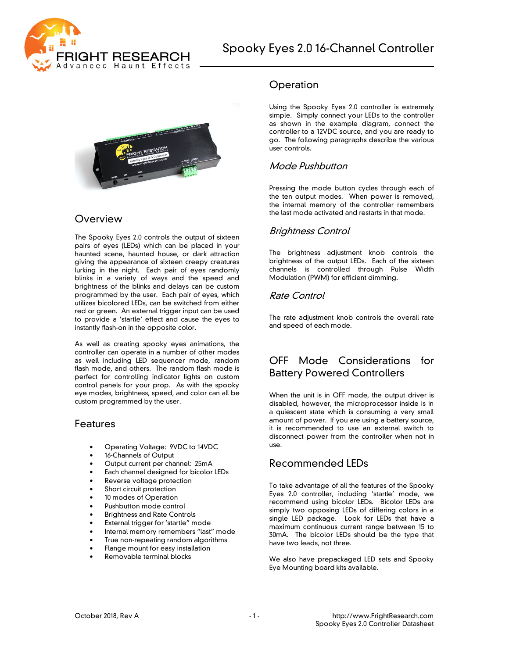



### Overview

The Spooky Eyes 2.0 controls the output of sixteen pairs of eyes (LEDs) which can be placed in your haunted scene, haunted house, or dark attraction giving the appearance of sixteen creepy creatures lurking in the night. Each pair of eyes randomly blinks in a variety of ways and the speed and brightness of the blinks and delays can be custom programmed by the user. Each pair of eyes, which utilizes bicolored LEDs, can be switched from either red or green. An external trigger input can be used to provide a 'startle' effect and cause the eyes to instantly flash-on in the opposite color.

As well as creating spooky eyes animations, the controller can operate in a number of other modes as well including LED sequencer mode, random flash mode, and others. The random flash mode is perfect for controlling indicator lights on custom control panels for your prop. As with the spooky eye modes, brightness, speed, and color can all be custom programmed by the user.

### Features

- Operating Voltage: 9VDC to 14VDC
- 16-Channels of Output
- Output current per channel: 25mA
- Each channel designed for bicolor LEDs
- Reverse voltage protection
- Short circuit protection
- 10 modes of Operation
- Pushbutton mode control
- Brightness and Rate Controls
- External trigger for 'startle" mode
- Internal memory remembers "last" mode
- True non-repeating random algorithms
- Flange mount for easy installation
- Removable terminal blocks

### **Operation**

Using the Spooky Eyes 2.0 controller is extremely simple. Simply connect your LEDs to the controller as shown in the example diagram, connect the controller to a 12VDC source, and you are ready to go. The following paragraphs describe the various user controls.

#### Mode Pushbutton

Pressing the mode button cycles through each of the ten output modes. When power is removed, the internal memory of the controller remembers the last mode activated and restarts in that mode.

### Brightness Control

The brightness adjustment knob controls the brightness of the output LEDs. Each of the sixteen channels is controlled through Pulse Width Modulation (PWM) for efficient dimming.

### Rate Control

The rate adjustment knob controls the overall rate and speed of each mode.

### OFF Mode Considerations for Battery Powered Controllers

When the unit is in OFF mode, the output driver is disabled, however, the microprocessor inside is in a quiescent state which is consuming a very small amount of power. If you are using a battery source, it is recommended to use an external switch to disconnect power from the controller when not in use.

### Recommended LEDs

To take advantage of all the features of the Spooky Eyes 2.0 controller, including 'startle' mode, we recommend using bicolor LEDs. Bicolor LEDs are simply two opposing LEDs of differing colors in a single LED package. Look for LEDs that have a maximum continuous current range between 15 to 30mA. The bicolor LEDs should be the type that have two leads, not three.

We also have prepackaged LED sets and Spooky Eye Mounting board kits available.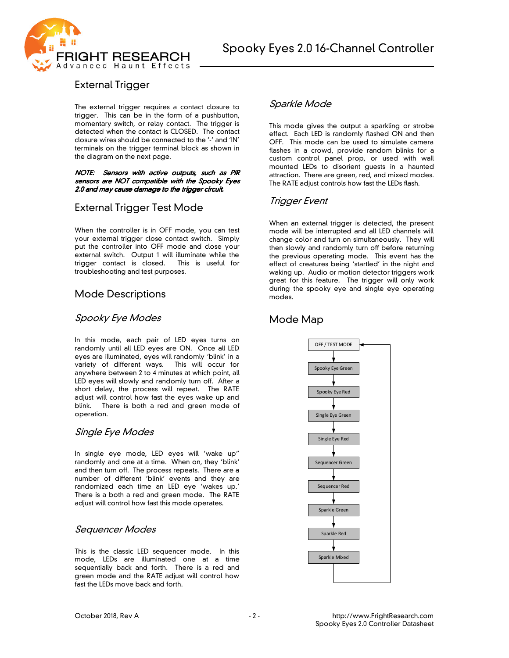



# External Trigger

The external trigger requires a contact closure to trigger. This can be in the form of a pushbutton, momentary switch, or relay contact. The trigger is detected when the contact is CLOSED. The contact closure wires should be connected to the '-' and 'IN' terminals on the trigger terminal block as shown in the diagram on the next page.

#### NOTE: Sensors with active outputs, such as PIR sensors are NOT compatible with the Spooky Eyes 2.0 and may cause damage to the trigger circuit.

# External Trigger Test Mode

When the controller is in OFF mode, you can test your external trigger close contact switch. Simply put the controller into OFF mode and close your external switch. Output 1 will illuminate while the trigger contact is closed. This is useful for troubleshooting and test purposes.

# Mode Descriptions

### Spooky Eye Modes

In this mode, each pair of LED eyes turns on randomly until all LED eyes are ON. Once all LED eyes are illuminated, eyes will randomly 'blink' in a variety of different ways. This will occur for anywhere between 2 to 4 minutes at which point, all LED eyes will slowly and randomly turn off. After a short delay, the process will repeat. The RATE adjust will control how fast the eyes wake up and blink. There is both a red and green mode of operation.

### Single Eye Modes

In single eye mode, LED eyes will 'wake up" randomly and one at a time. When on, they 'blink' and then turn off. The process repeats. There are a number of different 'blink' events and they are randomized each time an LED eye 'wakes up.' There is a both a red and green mode. The RATE adjust will control how fast this mode operates.

#### Sequencer Modes

This is the classic LED sequencer mode. In this mode, LEDs are illuminated one at a time sequentially back and forth. There is a red and green mode and the RATE adjust will control how fast the LEDs move back and forth.

#### Sparkle Mode

This mode gives the output a sparkling or strobe effect. Each LED is randomly flashed ON and then OFF. This mode can be used to simulate camera flashes in a crowd, provide random blinks for a custom control panel prop, or used with wall mounted LEDs to disorient guests in a haunted attraction. There are green, red, and mixed modes. The RATE adjust controls how fast the LEDs flash.

## Trigger Event

When an external trigger is detected, the present mode will be interrupted and all LED channels will change color and turn on simultaneously. They will then slowly and randomly turn off before returning the previous operating mode. This event has the effect of creatures being 'startled' in the night and waking up. Audio or motion detector triggers work great for this feature. The trigger will only work during the spooky eye and single eye operating modes.

# Mode Map